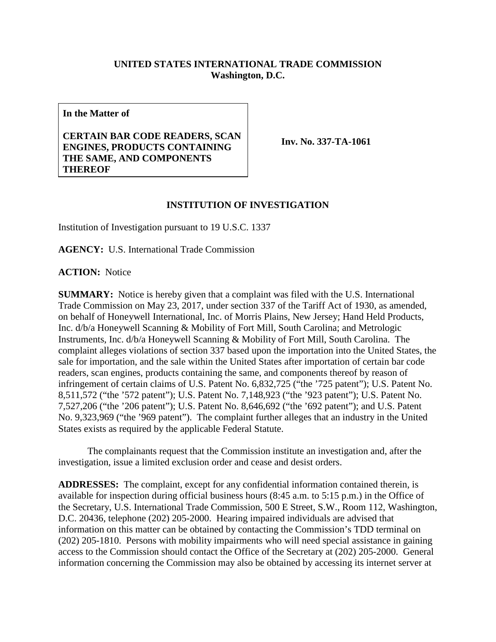## **UNITED STATES INTERNATIONAL TRADE COMMISSION Washington, D.C.**

**In the Matter of**

## **CERTAIN BAR CODE READERS, SCAN ENGINES, PRODUCTS CONTAINING THE SAME, AND COMPONENTS THEREOF**

**Inv. No. 337-TA-1061**

## **INSTITUTION OF INVESTIGATION**

Institution of Investigation pursuant to 19 U.S.C. 1337

**AGENCY:** U.S. International Trade Commission

**ACTION:** Notice

**SUMMARY:** Notice is hereby given that a complaint was filed with the U.S. International Trade Commission on May 23, 2017, under section 337 of the Tariff Act of 1930, as amended, on behalf of Honeywell International, Inc. of Morris Plains, New Jersey; Hand Held Products, Inc. d/b/a Honeywell Scanning & Mobility of Fort Mill, South Carolina; and Metrologic Instruments, Inc. d/b/a Honeywell Scanning & Mobility of Fort Mill, South Carolina. The complaint alleges violations of section 337 based upon the importation into the United States, the sale for importation, and the sale within the United States after importation of certain bar code readers, scan engines, products containing the same, and components thereof by reason of infringement of certain claims of U.S. Patent No. 6,832,725 ("the '725 patent"); U.S. Patent No. 8,511,572 ("the '572 patent"); U.S. Patent No. 7,148,923 ("the '923 patent"); U.S. Patent No. 7,527,206 ("the '206 patent"); U.S. Patent No. 8,646,692 ("the '692 patent"); and U.S. Patent No. 9,323,969 ("the '969 patent"). The complaint further alleges that an industry in the United States exists as required by the applicable Federal Statute.

The complainants request that the Commission institute an investigation and, after the investigation, issue a limited exclusion order and cease and desist orders.

**ADDRESSES:** The complaint, except for any confidential information contained therein, is available for inspection during official business hours (8:45 a.m. to 5:15 p.m.) in the Office of the Secretary, U.S. International Trade Commission, 500 E Street, S.W., Room 112, Washington, D.C. 20436, telephone (202) 205-2000. Hearing impaired individuals are advised that information on this matter can be obtained by contacting the Commission's TDD terminal on (202) 205-1810. Persons with mobility impairments who will need special assistance in gaining access to the Commission should contact the Office of the Secretary at (202) 205-2000. General information concerning the Commission may also be obtained by accessing its internet server at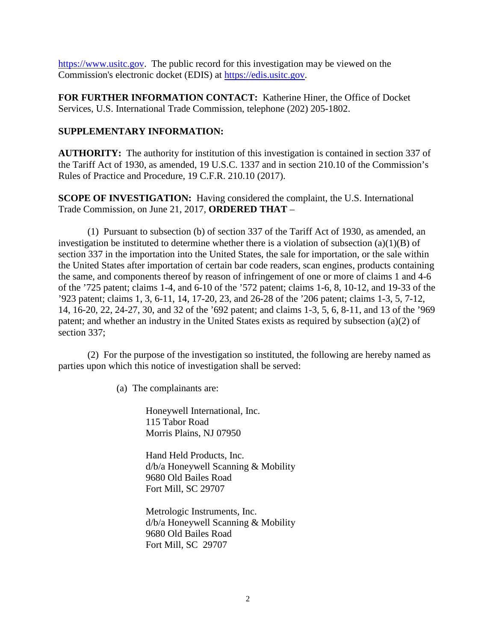[https://www.usitc.gov.](https://www.usitc.gov/) The public record for this investigation may be viewed on the Commission's electronic docket (EDIS) at [https://edis.usitc.gov.](https://edis.usitc.gov/)

**FOR FURTHER INFORMATION CONTACT:** Katherine Hiner, the Office of Docket Services, U.S. International Trade Commission, telephone (202) 205-1802.

## **SUPPLEMENTARY INFORMATION:**

**AUTHORITY:** The authority for institution of this investigation is contained in section 337 of the Tariff Act of 1930, as amended, 19 U.S.C. 1337 and in section 210.10 of the Commission's Rules of Practice and Procedure, 19 C.F.R. 210.10 (2017).

**SCOPE OF INVESTIGATION:** Having considered the complaint, the U.S. International Trade Commission, on June 21, 2017, **ORDERED THAT** –

(1) Pursuant to subsection (b) of section 337 of the Tariff Act of 1930, as amended, an investigation be instituted to determine whether there is a violation of subsection (a)(1)(B) of section 337 in the importation into the United States, the sale for importation, or the sale within the United States after importation of certain bar code readers, scan engines, products containing the same, and components thereof by reason of infringement of one or more of claims 1 and 4-6 of the '725 patent; claims 1-4, and 6-10 of the '572 patent; claims 1-6, 8, 10-12, and 19-33 of the '923 patent; claims 1, 3, 6-11, 14, 17-20, 23, and 26-28 of the '206 patent; claims 1-3, 5, 7-12, 14, 16-20, 22, 24-27, 30, and 32 of the '692 patent; and claims 1-3, 5, 6, 8-11, and 13 of the '969 patent; and whether an industry in the United States exists as required by subsection (a)(2) of section 337;

(2) For the purpose of the investigation so instituted, the following are hereby named as parties upon which this notice of investigation shall be served:

(a) The complainants are:

Honeywell International, Inc. 115 Tabor Road Morris Plains, NJ 07950

Hand Held Products, Inc. d/b/a Honeywell Scanning & Mobility 9680 Old Bailes Road Fort Mill, SC 29707

Metrologic Instruments, Inc. d/b/a Honeywell Scanning & Mobility 9680 Old Bailes Road Fort Mill, SC 29707